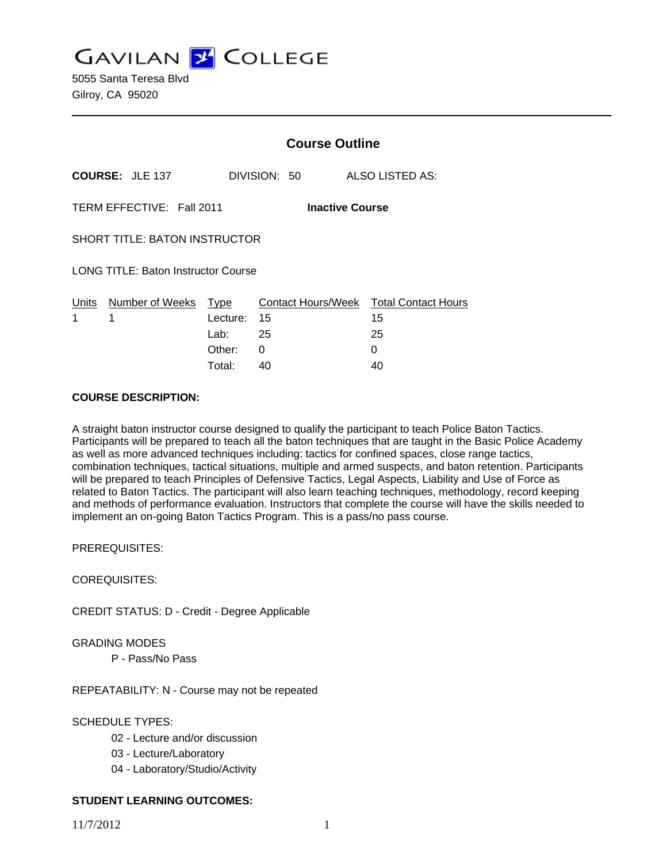**GAVILAN Z COLLEGE** 

5055 Santa Teresa Blvd Gilroy, CA 95020

|                                                     |                                 | <b>Course Outline</b> |              |                                              |
|-----------------------------------------------------|---------------------------------|-----------------------|--------------|----------------------------------------------|
|                                                     | <b>COURSE: JLE 137</b>          |                       | DIVISION: 50 | <b>ALSO LISTED AS:</b>                       |
| TERM EFFECTIVE: Fall 2011<br><b>Inactive Course</b> |                                 |                       |              |                                              |
| <b>SHORT TITLE: BATON INSTRUCTOR</b>                |                                 |                       |              |                                              |
| <b>LONG TITLE: Baton Instructor Course</b>          |                                 |                       |              |                                              |
| 1                                                   | Units Number of Weeks Type<br>1 | Lecture: 15           |              | Contact Hours/Week Total Contact Hours<br>15 |
|                                                     |                                 | Lab: $25$             |              | 25                                           |
|                                                     |                                 | Other:                | 0            | 0                                            |
|                                                     |                                 | Total:                | 40           | 40                                           |

#### **COURSE DESCRIPTION:**

A straight baton instructor course designed to qualify the participant to teach Police Baton Tactics. Participants will be prepared to teach all the baton techniques that are taught in the Basic Police Academy as well as more advanced techniques including: tactics for confined spaces, close range tactics, combination techniques, tactical situations, multiple and armed suspects, and baton retention. Participants will be prepared to teach Principles of Defensive Tactics, Legal Aspects, Liability and Use of Force as related to Baton Tactics. The participant will also learn teaching techniques, methodology, record keeping and methods of performance evaluation. Instructors that complete the course will have the skills needed to implement an on-going Baton Tactics Program. This is a pass/no pass course.

PREREQUISITES:

COREQUISITES:

CREDIT STATUS: D - Credit - Degree Applicable

#### GRADING MODES

P - Pass/No Pass

REPEATABILITY: N - Course may not be repeated

### SCHEDULE TYPES:

- 02 Lecture and/or discussion
- 03 Lecture/Laboratory
- 04 Laboratory/Studio/Activity

### **STUDENT LEARNING OUTCOMES:**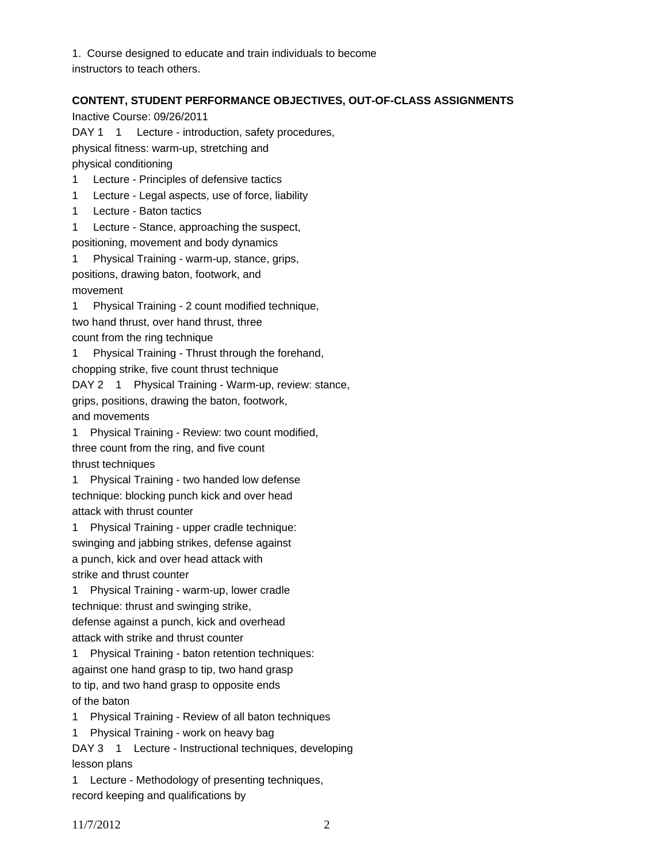1. Course designed to educate and train individuals to become instructors to teach others.

### **CONTENT, STUDENT PERFORMANCE OBJECTIVES, OUT-OF-CLASS ASSIGNMENTS**

Inactive Course: 09/26/2011

DAY 1 1 Lecture - introduction, safety procedures,

physical fitness: warm-up, stretching and

physical conditioning

1 Lecture - Principles of defensive tactics

- 1 Lecture Legal aspects, use of force, liability
- 1 Lecture Baton tactics

1 Lecture - Stance, approaching the suspect,

positioning, movement and body dynamics

1 Physical Training - warm-up, stance, grips, positions, drawing baton, footwork, and movement

1 Physical Training - 2 count modified technique, two hand thrust, over hand thrust, three count from the ring technique

1 Physical Training - Thrust through the forehand,

chopping strike, five count thrust technique

DAY 2 1 Physical Training - Warm-up, review: stance,

grips, positions, drawing the baton, footwork, and movements

1 Physical Training - Review: two count modified, three count from the ring, and five count

thrust techniques

1 Physical Training - two handed low defense technique: blocking punch kick and over head attack with thrust counter

1 Physical Training - upper cradle technique: swinging and jabbing strikes, defense against a punch, kick and over head attack with strike and thrust counter

1 Physical Training - warm-up, lower cradle technique: thrust and swinging strike, defense against a punch, kick and overhead attack with strike and thrust counter

1 Physical Training - baton retention techniques: against one hand grasp to tip, two hand grasp to tip, and two hand grasp to opposite ends of the baton

1 Physical Training - Review of all baton techniques

1 Physical Training - work on heavy bag

DAY 3 1 Lecture - Instructional techniques, developing lesson plans

1 Lecture - Methodology of presenting techniques, record keeping and qualifications by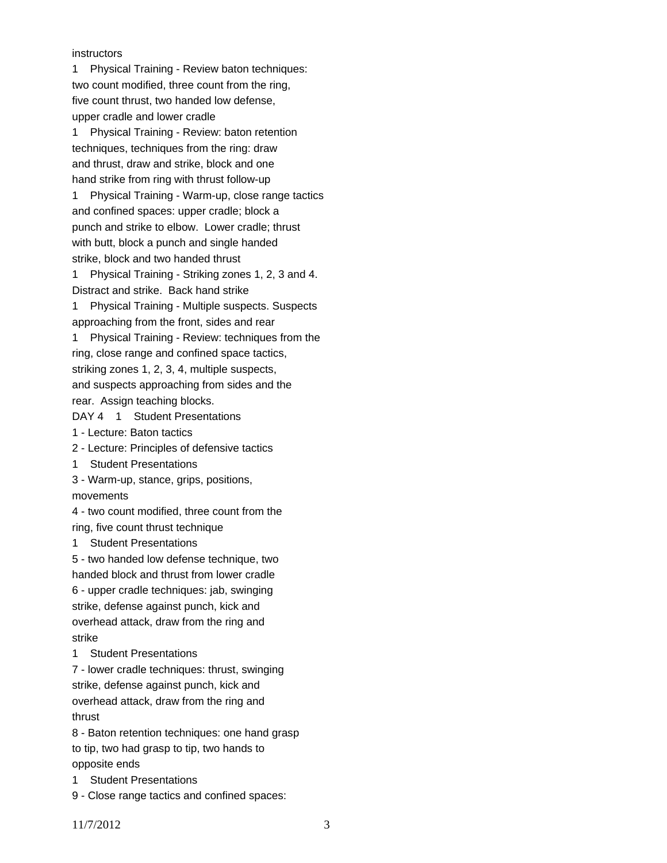instructors

1 Physical Training - Review baton techniques: two count modified, three count from the ring, five count thrust, two handed low defense, upper cradle and lower cradle

1 Physical Training - Review: baton retention techniques, techniques from the ring: draw and thrust, draw and strike, block and one hand strike from ring with thrust follow-up 1 Physical Training - Warm-up, close range tactics and confined spaces: upper cradle; block a punch and strike to elbow. Lower cradle; thrust with butt, block a punch and single handed strike, block and two handed thrust

1 Physical Training - Striking zones 1, 2, 3 and 4. Distract and strike. Back hand strike

1 Physical Training - Multiple suspects. Suspects approaching from the front, sides and rear

1 Physical Training - Review: techniques from the ring, close range and confined space tactics, striking zones 1, 2, 3, 4, multiple suspects, and suspects approaching from sides and the rear. Assign teaching blocks.

DAY 4 1 Student Presentations

1 - Lecture: Baton tactics

2 - Lecture: Principles of defensive tactics

1 Student Presentations

3 - Warm-up, stance, grips, positions, movements

4 - two count modified, three count from the ring, five count thrust technique

1 Student Presentations

5 - two handed low defense technique, two handed block and thrust from lower cradle 6 - upper cradle techniques: jab, swinging strike, defense against punch, kick and overhead attack, draw from the ring and strike

1 Student Presentations

7 - lower cradle techniques: thrust, swinging strike, defense against punch, kick and overhead attack, draw from the ring and thrust

8 - Baton retention techniques: one hand grasp to tip, two had grasp to tip, two hands to opposite ends

1 Student Presentations

9 - Close range tactics and confined spaces: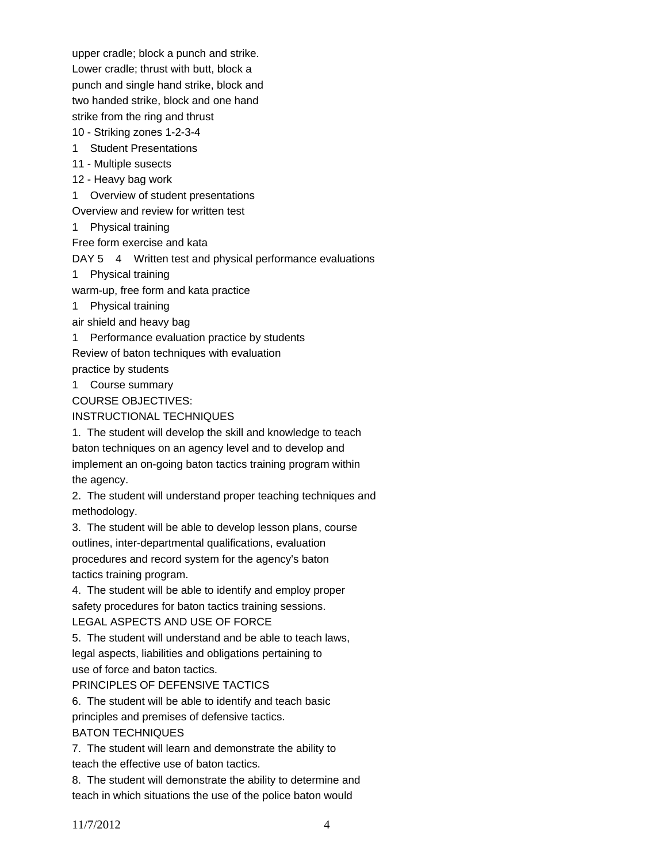upper cradle; block a punch and strike. Lower cradle; thrust with butt, block a

punch and single hand strike, block and two handed strike, block and one hand

strike from the ring and thrust

10 - Striking zones 1-2-3-4

- 1 Student Presentations
- 11 Multiple susects
- 12 Heavy bag work

1 Overview of student presentations

Overview and review for written test

1 Physical training

Free form exercise and kata

DAY 5 4 Written test and physical performance evaluations

1 Physical training

warm-up, free form and kata practice

1 Physical training

air shield and heavy bag

1 Performance evaluation practice by students

Review of baton techniques with evaluation

practice by students

1 Course summary

COURSE OBJECTIVES:

# INSTRUCTIONAL TECHNIQUES

1. The student will develop the skill and knowledge to teach baton techniques on an agency level and to develop and implement an on-going baton tactics training program within the agency.

2. The student will understand proper teaching techniques and methodology.

3. The student will be able to develop lesson plans, course outlines, inter-departmental qualifications, evaluation procedures and record system for the agency's baton tactics training program.

4. The student will be able to identify and employ proper safety procedures for baton tactics training sessions. LEGAL ASPECTS AND USE OF FORCE

5. The student will understand and be able to teach laws,

legal aspects, liabilities and obligations pertaining to use of force and baton tactics.

# PRINCIPLES OF DEFENSIVE TACTICS

6. The student will be able to identify and teach basic principles and premises of defensive tactics. BATON TECHNIQUES

7. The student will learn and demonstrate the ability to teach the effective use of baton tactics.

8. The student will demonstrate the ability to determine and teach in which situations the use of the police baton would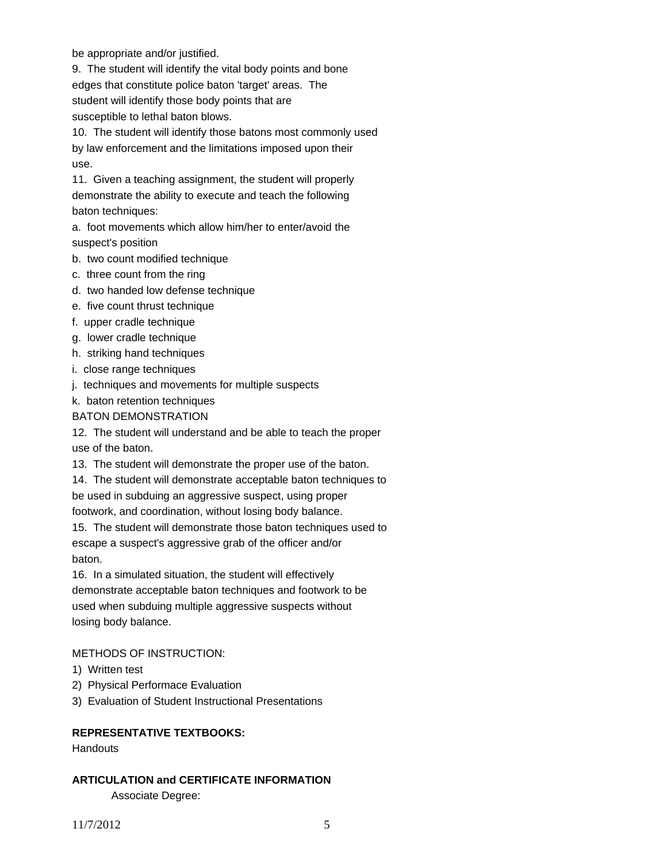be appropriate and/or justified.

9. The student will identify the vital body points and bone edges that constitute police baton 'target' areas. The student will identify those body points that are susceptible to lethal baton blows.

10. The student will identify those batons most commonly used by law enforcement and the limitations imposed upon their use.

11. Given a teaching assignment, the student will properly demonstrate the ability to execute and teach the following baton techniques:

a. foot movements which allow him/her to enter/avoid the suspect's position

- b. two count modified technique
- c. three count from the ring
- d. two handed low defense technique
- e. five count thrust technique
- f. upper cradle technique
- g. lower cradle technique
- h. striking hand techniques
- i. close range techniques
- j. techniques and movements for multiple suspects
- k. baton retention techniques

### BATON DEMONSTRATION

12. The student will understand and be able to teach the proper use of the baton.

13. The student will demonstrate the proper use of the baton.

14. The student will demonstrate acceptable baton techniques to be used in subduing an aggressive suspect, using proper

footwork, and coordination, without losing body balance.

15. The student will demonstrate those baton techniques used to escape a suspect's aggressive grab of the officer and/or baton.

16. In a simulated situation, the student will effectively demonstrate acceptable baton techniques and footwork to be used when subduing multiple aggressive suspects without losing body balance.

# METHODS OF INSTRUCTION:

- 1) Written test
- 2) Physical Performace Evaluation

3) Evaluation of Student Instructional Presentations

# **REPRESENTATIVE TEXTBOOKS:**

**Handouts** 

# **ARTICULATION and CERTIFICATE INFORMATION**  Associate Degree: